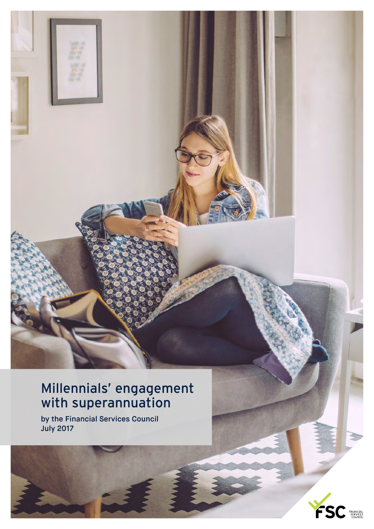#### Millennials' engagement with superannuation

by the Financial Services Council July 2017

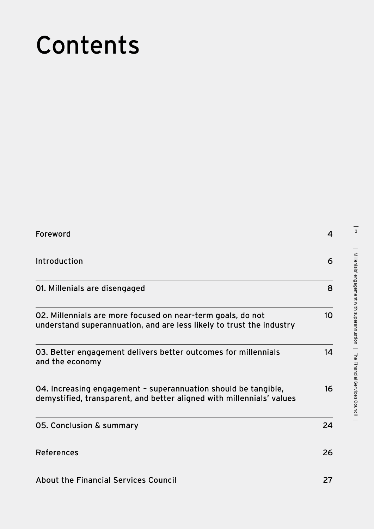## Contents

| Foreword                                                                                                                                | 4               |
|-----------------------------------------------------------------------------------------------------------------------------------------|-----------------|
| Introduction                                                                                                                            | 6               |
| 01. Millenials are disengaged                                                                                                           | 8               |
| 02. Millennials are more focused on near-term goals, do not<br>understand superannuation, and are less likely to trust the industry     | 10 <sup>°</sup> |
| 03. Better engagement delivers better outcomes for millennials<br>and the economy                                                       | 14              |
| 04. Increasing engagement - superannuation should be tangible,<br>demystified, transparent, and better aligned with millennials' values | 16              |
| 05. Conclusion & summary                                                                                                                | 24              |
| <b>References</b>                                                                                                                       | 26              |
| About the Financial Cervices Council                                                                                                    | דר              |

 $\frac{1}{3}$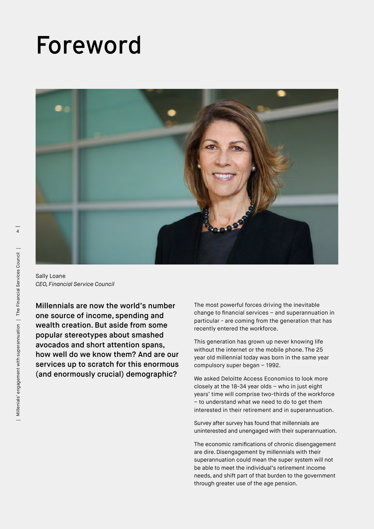### Foreword



Sally Loane *CEO, Financial Service Council*

Millennials are now the world's number one source of income, spending and wealth creation. But aside from some popular stereotypes about smashed avocados and short attention spans, how well do we know them? And are our services up to scratch for this enormous (and enormously crucial) demographic?

The most powerful forces driving the inevitable change to financial services – and superannuation in particular - are coming from the generation that has recently entered the workforce.

This generation has grown up never knowing life without the internet or the mobile phone. The 25 year old millennial today was born in the same year compulsory super began – 1992.

We asked Deloitte Access Economics to look more closely at the 18-34 year olds – who in just eight years' time will comprise two-thirds of the workforce – to understand what we need to do to get them interested in their retirement and in superannuation.

Survey after survey has found that millennials are uninterested and unengaged with their superannuation.

The economic ramifications of chronic disengagement are dire. Disengagement by millennials with their superannuation could mean the super system will not be able to meet the individual's retirement income needs, and shift part of that burden to the government through greater use of the age pension.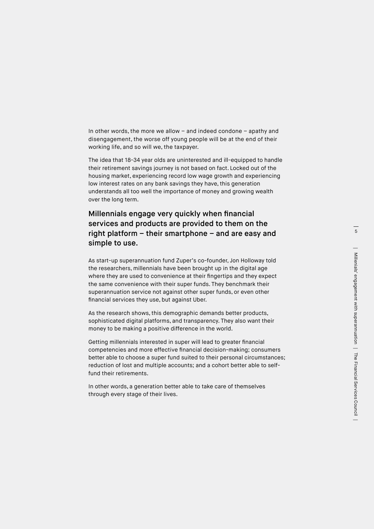In other words, the more we allow – and indeed condone – apathy and disengagement, the worse off young people will be at the end of their working life, and so will we, the taxpayer.

The idea that 18-34 year olds are uninterested and ill-equipped to handle their retirement savings journey is not based on fact. Locked out of the housing market, experiencing record low wage growth and experiencing low interest rates on any bank savings they have, this generation understands all too well the importance of money and growing wealth over the long term.

#### Millennials engage very quickly when financial services and products are provided to them on the right platform – their smartphone – and are easy and simple to use.

As start-up superannuation fund Zuper's co-founder, Jon Holloway told the researchers, millennials have been brought up in the digital age where they are used to convenience at their fingertips and they expect the same convenience with their super funds. They benchmark their superannuation service not against other super funds, or even other financial services they use, but against Uber.

As the research shows, this demographic demands better products, sophisticated digital platforms, and transparency. They also want their money to be making a positive difference in the world.

Getting millennials interested in super will lead to greater financial competencies and more effective financial decision-making; consumers better able to choose a super fund suited to their personal circumstances; reduction of lost and multiple accounts; and a cohort better able to selffund their retirements.

In other words, a generation better able to take care of themselves through every stage of their lives.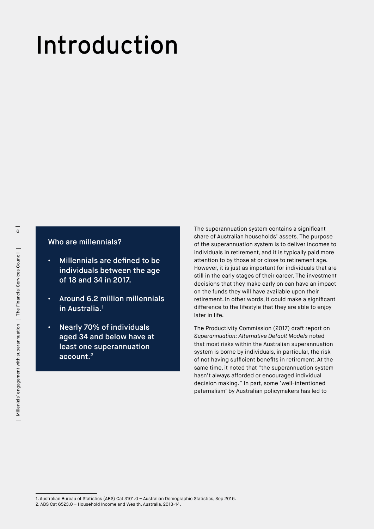## Introduction

#### Who are millennials?

- Millennials are defined to be individuals between the age of 18 and 34 in 2017.
- Around 6.2 million millennials in Australia.1
- Nearly 70% of individuals aged 34 and below have at least one superannuation account.2

The superannuation system contains a significant share of Australian households' assets. The purpose of the superannuation system is to deliver incomes to individuals in retirement, and it is typically paid more attention to by those at or close to retirement age. However, it is just as important for individuals that are still in the early stages of their career. The investment decisions that they make early on can have an impact on the funds they will have available upon their retirement. In other words, it could make a significant difference to the lifestyle that they are able to enjoy later in life.

The Productivity Commission (2017) draft report on *Superannuation: Alternative Default Models* noted that most risks within the Australian superannuation system is borne by individuals, in particular, the risk of not having sufficient benefits in retirement. At the same time, it noted that "the superannuation system hasn't always afforded or encouraged individual decision making." In part, some 'well-intentioned paternalism' by Australian policymakers has led to

<sup>1.</sup> Australian Bureau of Statistics (ABS) Cat 3101.0 – Australian Demographic Statistics, Sep 2016.

<sup>2.</sup> ABS Cat 6523.0 – Household Income and Wealth, Australia, 2013-14.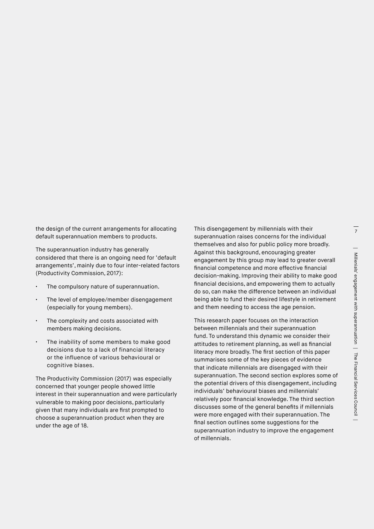the design of the current arrangements for allocating default superannuation members to products.

The superannuation industry has generally considered that there is an ongoing need for 'default arrangements', mainly due to four inter-related factors (Productivity Commission, 2017):

- The compulsory nature of superannuation.
- The level of employee/member disengagement (especially for young members).
- The complexity and costs associated with members making decisions.
- The inability of some members to make good decisions due to a lack of financial literacy or the influence of various behavioural or cognitive biases.

The Productivity Commission (2017) was especially concerned that younger people showed little interest in their superannuation and were particularly vulnerable to making poor decisions, particularly given that many individuals are first prompted to choose a superannuation product when they are under the age of 18.

This disengagement by millennials with their superannuation raises concerns for the individual themselves and also for public policy more broadly. Against this background, encouraging greater engagement by this group may lead to greater overall financial competence and more effective financial decision-making. Improving their ability to make good financial decisions, and empowering them to actually do so, can make the difference between an individual being able to fund their desired lifestyle in retirement and them needing to access the age pension.

This research paper focuses on the interaction between millennials and their superannuation fund. To understand this dynamic we consider their attitudes to retirement planning, as well as financial literacy more broadly. The first section of this paper summarises some of the key pieces of evidence that indicate millennials are disengaged with their superannuation. The second section explores some of the potential drivers of this disengagement, including individuals' behavioural biases and millennials' relatively poor financial knowledge. The third section discusses some of the general benefits if millennials were more engaged with their superannuation. The final section outlines some suggestions for the superannuation industry to improve the engagement of millennials.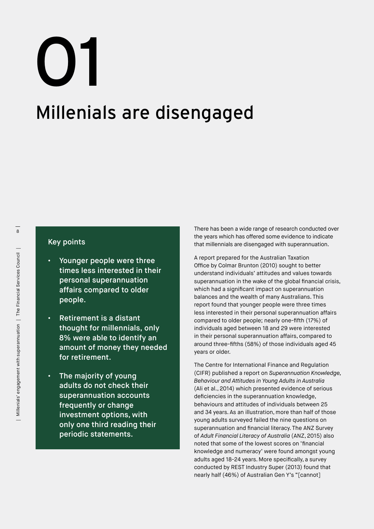# 01

### Millenials are disengaged

#### Key points

- Younger people were three times less interested in their personal superannuation affairs compared to older people.
- Retirement is a distant thought for millennials; only 8% were able to identify an amount of money they needed for retirement.
- The majority of young adults do not check their superannuation accounts frequently or change investment options, with only one third reading their periodic statements.

There has been a wide range of research conducted over the years which has offered some evidence to indicate that millennials are disengaged with superannuation.

A report prepared for the Australian Taxation Office by Colmar Brunton (2010) sought to better understand individuals' attitudes and values towards superannuation in the wake of the global financial crisis, which had a significant impact on superannuation balances and the wealth of many Australians. This report found that younger people were three times less interested in their personal superannuation affairs compared to older people; nearly one-fifth (17%) of individuals aged between 18 and 29 were interested in their personal superannuation affairs, compared to around three-fifths (58%) of those individuals aged 45 years or older.

The Centre for International Finance and Regulation (CIFR) published a report on *Superannuation Knowledge, Behaviour and Attitudes in Young Adults in Australia*  (Ali et al., 2014) which presented evidence of serious deficiencies in the superannuation knowledge, behaviours and attitudes of individuals between 25 and 34 years. As an illustration, more than half of those young adults surveyed failed the nine questions on superannuation and financial literacy. The ANZ Survey of *Adult Financial Literacy of Australia* (ANZ, 2015) also noted that some of the lowest scores on 'financial knowledge and numeracy' were found amongst young adults aged 18-24 years. More specifically, a survey conducted by REST Industry Super (2013) found that nearly half (46%) of Australian Gen Y's "[cannot]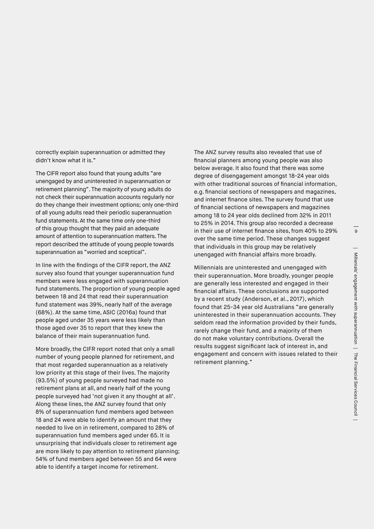correctly explain superannuation or admitted they didn't know what it is."

The CIFR report also found that young adults "are unengaged by and uninterested in superannuation or retirement planning". The majority of young adults do not check their superannuation accounts regularly nor do they change their investment options; only one-third of all young adults read their periodic superannuation fund statements. At the same time only one-third of this group thought that they paid an adequate amount of attention to superannuation matters. The report described the attitude of young people towards superannuation as "worried and sceptical".

In line with the findings of the CIFR report, the ANZ survey also found that younger superannuation fund members were less engaged with superannuation fund statements. The proportion of young people aged between 18 and 24 that read their superannuation fund statement was 39%, nearly half of the average (68%). At the same time, ASIC (2016a) found that people aged under 35 years were less likely than those aged over 35 to report that they knew the balance of their main superannuation fund.

More broadly, the CIFR report noted that only a small number of young people planned for retirement, and that most regarded superannuation as a relatively low priority at this stage of their lives. The majority (93.5%) of young people surveyed had made no retirement plans at all, and nearly half of the young people surveyed had 'not given it any thought at all'. Along these lines, the ANZ survey found that only 8% of superannuation fund members aged between 18 and 24 were able to identify an amount that they needed to live on in retirement, compared to 28% of superannuation fund members aged under 65. It is unsurprising that individuals closer to retirement age are more likely to pay attention to retirement planning; 54% of fund members aged between 55 and 64 were able to identify a target income for retirement.

The ANZ survey results also revealed that use of financial planners among young people was also below average. It also found that there was some degree of disengagement amongst 18-24 year olds with other traditional sources of financial information, e.g. financial sections of newspapers and magazines, and internet finance sites. The survey found that use of financial sections of newspapers and magazines among 18 to 24 year olds declined from 32% in 2011 to 25% in 2014. This group also recorded a decrease in their use of internet finance sites, from 40% to 29% over the same time period. These changes suggest that individuals in this group may be relatively unengaged with financial affairs more broadly.

Millennials are uninterested and unengaged with their superannuation. More broadly, younger people are generally less interested and engaged in their financial affairs. These conclusions are supported by a recent study (Anderson, et al., 2017), which found that 25-34 year old Australians "are generally uninterested in their superannuation accounts. They seldom read the information provided by their funds, rarely change their fund, and a majority of them do not make voluntary contributions. Overall the results suggest significant lack of interest in, and engagement and concern with issues related to their retirement planning."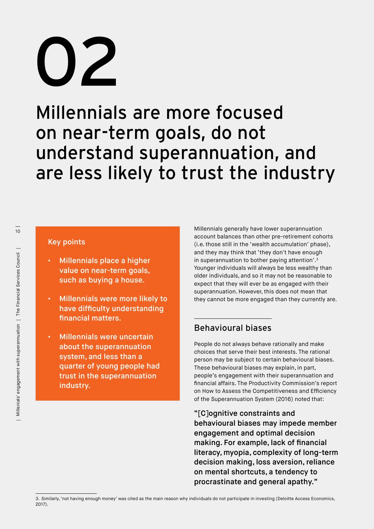## 02

Millennials are more focused on near-term goals, do not understand superannuation, and are less likely to trust the industry

#### Key points

- Millennials place a higher value on near-term goals, such as buying a house.
- Millennials were more likely to have difficulty understanding financial matters.
- Millennials were uncertain about the superannuation system, and less than a quarter of young people had trust in the superannuation industry.

Millennials generally have lower superannuation account balances than other pre-retirement cohorts (i.e. those still in the 'wealth accumulation' phase), and they may think that 'they don't have enough in superannuation to bother paying attention'.3 Younger individuals will always be less wealthy than older individuals, and so it may not be reasonable to expect that they will ever be as engaged with their superannuation. However, this does not mean that they cannot be more engaged than they currently are.

#### Behavioural biases

People do not always behave rationally and make choices that serve their best interests. The rational person may be subject to certain behavioural biases. These behavioural biases may explain, in part, people's engagement with their superannuation and financial affairs. The Productivity Commission's report on How to Assess the Competitiveness and Efficiency of the Superannuation System (2016) noted that:

"[C]ognitive constraints and behavioural biases may impede member engagement and optimal decision making. For example, lack of financial literacy, myopia, complexity of long-term decision making, loss aversion, reliance on mental shortcuts, a tendency to procrastinate and general apathy."

<sup>3.</sup> Similarly, 'not having enough money' was cited as the main reason why individuals do not participate in investing (Deloitte Access Economics, 2017).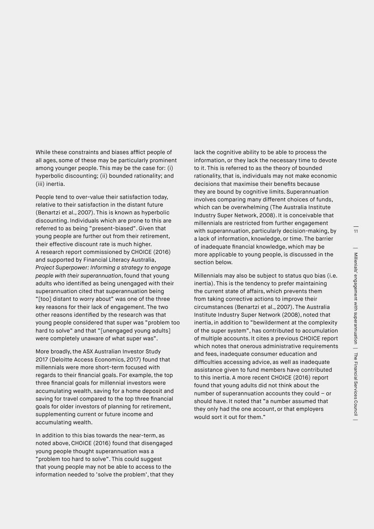11

While these constraints and biases afflict people of all ages, some of these may be particularly prominent among younger people. This may be the case for: (i) hyperbolic discounting; (ii) bounded rationality; and (iii) inertia.

People tend to over-value their satisfaction today, relative to their satisfaction in the distant future (Benartzi et al., 2007). This is known as hyperbolic discounting. Individuals which are prone to this are referred to as being "present-biased". Given that young people are further out from their retirement, their effective discount rate is much higher. A research report commissioned by CHOICE (2016) and supported by Financial Literacy Australia, *Project Superpower: Informing a strategy to engage people with their superannuation*, found that young adults who identified as being unengaged with their superannuation cited that superannuation being "[too] distant to worry about" was one of the three key reasons for their lack of engagement. The two other reasons identified by the research was that young people considered that super was "problem too hard to solve" and that "[unengaged young adults] were completely unaware of what super was".

More broadly, the ASX Australian Investor Study 2017 (Deloitte Access Economics, 2017) found that millennials were more short-term focused with regards to their financial goals. For example, the top three financial goals for millennial investors were accumulating wealth, saving for a home deposit and saving for travel compared to the top three financial goals for older investors of planning for retirement, supplementing current or future income and accumulating wealth.

In addition to this bias towards the near-term, as noted above, CHOICE (2016) found that disengaged young people thought superannuation was a "problem too hard to solve". This could suggest that young people may not be able to access to the information needed to 'solve the problem', that they lack the cognitive ability to be able to process the information, or they lack the necessary time to devote to it. This is referred to as the theory of bounded rationality, that is, individuals may not make economic decisions that maximise their benefits because they are bound by cognitive limits. Superannuation involves comparing many different choices of funds, which can be overwhelming (The Australia Institute Industry Super Network, 2008). It is conceivable that millennials are restricted from further engagement with superannuation, particularly decision-making, by a lack of information, knowledge, or time. The barrier of inadequate financial knowledge, which may be more applicable to young people, is discussed in the section below.

Millennials may also be subject to status quo bias (i.e. inertia). This is the tendency to prefer maintaining the current state of affairs, which prevents them from taking corrective actions to improve their circumstances (Benartzi et al., 2007). The Australia Institute Industry Super Network (2008), noted that inertia, in addition to "bewilderment at the complexity of the super system", has contributed to accumulation of multiple accounts. It cites a previous CHOICE report which notes that onerous administrative requirements and fees, inadequate consumer education and difficulties accessing advice, as well as inadequate assistance given to fund members have contributed to this inertia. A more recent CHOICE (2016) report found that young adults did not think about the number of superannuation accounts they could – or should have. It noted that "a number assumed that they only had the one account, or that employers would sort it out for them."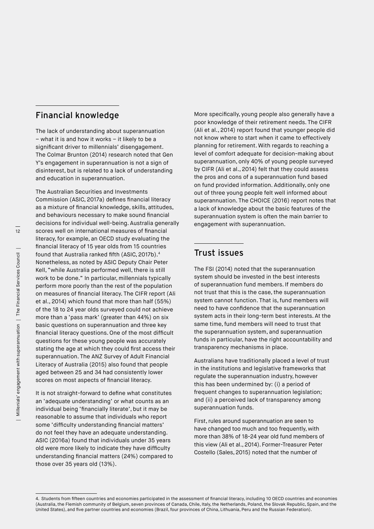#### Financial knowledge

The lack of understanding about superannuation – what it is and how it works – it likely to be a significant driver to millennials' disengagement. The Colmar Brunton (2014) research noted that Gen Y's engagement in superannuation is not a sign of disinterest, but is related to a lack of understanding and education in superannuation.

The Australian Securities and Investments Commission (ASIC, 2017a) defines financial literacy as a mixture of financial knowledge, skills, attitudes, and behaviours necessary to make sound financial decisions for individual well-being. Australia generally scores well on international measures of financial literacy, for example, an OECD study evaluating the financial literacy of 15 year olds from 15 countries found that Australia ranked fifth (ASIC, 2017b).4 Nonetheless, as noted by ASIC Deputy Chair Peter Kell, "while Australia performed well, there is still work to be done." In particular, millennials typically perform more poorly than the rest of the population on measures of financial literacy. The CIFR report (Ali et al., 2014) which found that more than half (55%) of the 18 to 24 year olds surveyed could not achieve more than a 'pass mark' (greater than 44%) on six basic questions on superannuation and three key financial literacy questions. One of the most difficult questions for these young people was accurately stating the age at which they could first access their superannuation. The ANZ Survey of Adult Financial Literacy of Australia (2015) also found that people aged between 25 and 34 had consistently lower scores on most aspects of financial literacy.

It is not straight-forward to define what constitutes an 'adequate understanding' or what counts as an individual being 'financially literate', but it may be reasonable to assume that individuals who report some 'difficulty understanding financial matters' do not feel they have an adequate understanding. ASIC (2016a) found that individuals under 35 years old were more likely to indicate they have difficulty understanding financial matters (24%) compared to those over 35 years old (13%).

More specifically, young people also generally have a poor knowledge of their retirement needs. The CIFR (Ali et al., 2014) report found that younger people did not know where to start when it came to effectively planning for retirement. With regards to reaching a level of comfort adequate for decision-making about superannuation, only 40% of young people surveyed by CIFR (Ali et al., 2014) felt that they could assess the pros and cons of a superannuation fund based on fund provided information. Additionally, only one out of three young people felt well informed about superannuation. The CHOICE (2016) report notes that a lack of knowledge about the basic features of the superannuation system is often the main barrier to engagement with superannuation.

#### Trust issues

The FSI (2014) noted that the superannuation system should be invested in the best interests of superannuation fund members. If members do not trust that this is the case, the superannuation system cannot function. That is, fund members will need to have confidence that the superannuation system acts in their long-term best interests. At the same time, fund members will need to trust that the superannuation system, and superannuation funds in particular, have the right accountability and transparency mechanisms in place.

Australians have traditionally placed a level of trust in the institutions and legislative frameworks that regulate the superannuation industry, however this has been undermined by: (i) a period of frequent changes to superannuation legislation; and (ii) a perceived lack of transparency among superannuation funds.

First, rules around superannuation are seen to have changed too much and too frequently, with more than 38% of 18-24 year old fund members of this view (Ali et al., 2014). Former-Treasurer Peter Costello (Sales, 2015) noted that the number of

<sup>4.</sup> Students from fifteen countries and economies participated in the assessment of financial literacy, including 10 OECD countries and economies (Australia, the Flemish community of Belgium, seven provinces of Canada, Chile, Italy, the Netherlands, Poland, the Slovak Republic, Spain, and the United States), and five partner countries and economies (Brazil, four provinces of China, Lithuania, Peru and the Russian Federation).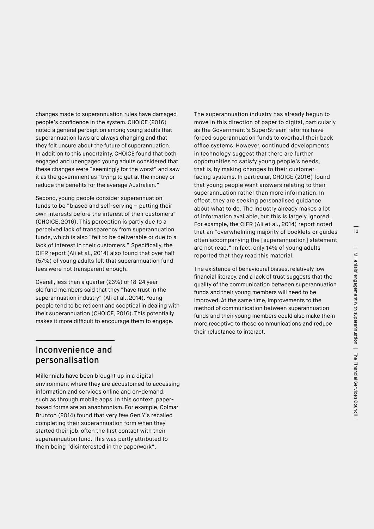changes made to superannuation rules have damaged people's confidence in the system. CHOICE (2016) noted a general perception among young adults that superannuation laws are always changing and that they felt unsure about the future of superannuation. In addition to this uncertainty, CHOICE found that both engaged and unengaged young adults considered that these changes were "seemingly for the worst" and saw it as the government as "trying to get at the money or reduce the benefits for the average Australian."

Second, young people consider superannuation funds to be "biased and self-serving – putting their own interests before the interest of their customers" (CHOICE, 2016). This perception is partly due to a perceived lack of transparency from superannuation funds, which is also "felt to be deliverable or due to a lack of interest in their customers." Specifically, the CIFR report (Ali et al., 2014) also found that over half (57%) of young adults felt that superannuation fund fees were not transparent enough.

Overall, less than a quarter (23%) of 18-24 year old fund members said that they "have trust in the superannuation industry" (Ali et al., 2014). Young people tend to be reticent and sceptical in dealing with their superannuation (CHOICE, 2016). This potentially makes it more difficult to encourage them to engage.

The superannuation industry has already begun to move in this direction of paper to digital, particularly as the Government's SuperStream reforms have forced superannuation funds to overhaul their back office systems. However, continued developments in technology suggest that there are further opportunities to satisfy young people's needs, that is, by making changes to their customerfacing systems. In particular, CHOICE (2016) found that young people want answers relating to their superannuation rather than more information. In effect, they are seeking personalised guidance about what to do. The industry already makes a lot of information available, but this is largely ignored. For example, the CIFR (Ali et al., 2014) report noted that an "overwhelming majority of booklets or guides often accompanying the [superannuation] statement are not read." In fact, only 14% of young adults reported that they read this material.

The existence of behavioural biases, relatively low financial literacy, and a lack of trust suggests that the quality of the communication between superannuation funds and their young members will need to be improved. At the same time, improvements to the method of communication between superannuation funds and their young members could also make them more receptive to these communications and reduce their reluctance to interact.

#### Inconvenience and personalisation

Millennials have been brought up in a digital environment where they are accustomed to accessing information and services online and on-demand, such as through mobile apps. In this context, paperbased forms are an anachronism. For example, Colmar Brunton (2014) found that very few Gen Y's recalled completing their superannuation form when they started their job, often the first contact with their superannuation fund. This was partly attributed to them being "disinterested in the paperwork".

13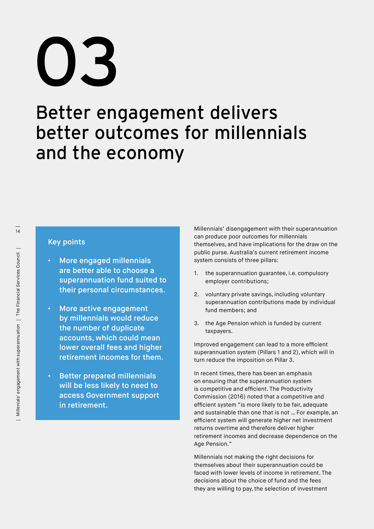## 03

### Better engagement delivers better outcomes for millennials and the economy

#### Key points

- More engaged millennials are better able to choose a superannuation fund suited to their personal circumstances.
- More active engagement by millennials would reduce the number of duplicate accounts, which could mean lower overall fees and higher retirement incomes for them.
- Better prepared millennials will be less likely to need to access Government support in retirement.

Millennials' disengagement with their superannuation can produce poor outcomes for millennials themselves, and have implications for the draw on the public purse. Australia's current retirement income system consists of three pillars:

- 1. the superannuation guarantee, i.e. compulsory employer contributions;
- 2. voluntary private savings, including voluntary superannuation contributions made by individual fund members; and
- 3. the Age Pension which is funded by current taxpayers.

Improved engagement can lead to a more efficient superannuation system (Pillars 1 and 2), which will in turn reduce the imposition on Pillar 3.

In recent times, there has been an emphasis on ensuring that the superannuation system is competitive and efficient. The Productivity Commission (2016) noted that a competitive and efficient system "is more likely to be fair, adequate and sustainable than one that is not … For example, an efficient system will generate higher net investment returns overtime and therefore deliver higher retirement incomes and decrease dependence on the Age Pension."

Millennials not making the right decisions for themselves about their superannuation could be faced with lower levels of income in retirement. The decisions about the choice of fund and the fees they are willing to pay, the selection of investment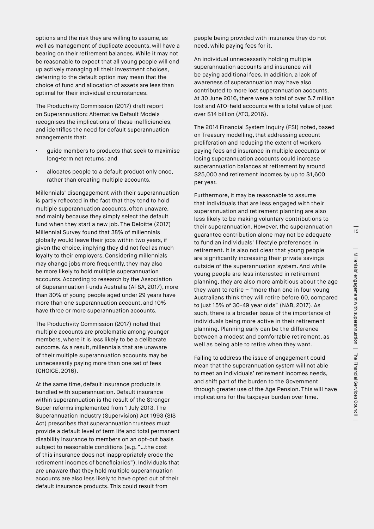options and the risk they are willing to assume, as well as management of duplicate accounts, will have a bearing on their retirement balances. While it may not be reasonable to expect that all young people will end up actively managing all their investment choices, deferring to the default option may mean that the choice of fund and allocation of assets are less than optimal for their individual circumstances.

The Productivity Commission (2017) draft report on Superannuation: Alternative Default Models recognises the implications of these inefficiencies, and identifies the need for default superannuation arrangements that:

- guide members to products that seek to maximise long-term net returns; and
- allocates people to a default product only once, rather than creating multiple accounts.

Millennials' disengagement with their superannuation is partly reflected in the fact that they tend to hold multiple superannuation accounts, often unaware, and mainly because they simply select the default fund when they start a new job. The Deloitte (2017) Millennial Survey found that 38% of millennials globally would leave their jobs within two years, if given the choice, implying they did not feel as much loyalty to their employers. Considering millennials may change jobs more frequently, they may also be more likely to hold multiple superannuation accounts. According to research by the Association of Superannuation Funds Australia (AFSA, 2017), more than 30% of young people aged under 29 years have more than one superannuation account, and 10% have three or more superannuation accounts.

The Productivity Commission (2017) noted that multiple accounts are problematic among younger members, where it is less likely to be a deliberate outcome. As a result, millennials that are unaware of their multiple superannuation accounts may be unnecessarily paying more than one set of fees (CHOICE, 2016).

At the same time, default insurance products is bundled with superannuation. Default insurance within superannuation is the result of the Stronger Super reforms implemented from 1 July 2013. The Superannuation Industry (Supervision) Act 1993 (SIS Act) prescribes that superannuation trustees must provide a default level of term life and total permanent disability insurance to members on an opt-out basis subject to reasonable conditions (e.g. "…the cost of this insurance does not inappropriately erode the retirement incomes of beneficiaries"). Individuals that are unaware that they hold multiple superannuation accounts are also less likely to have opted out of their default insurance products. This could result from

people being provided with insurance they do not need, while paying fees for it.

An individual unnecessarily holding multiple superannuation accounts and insurance will be paying additional fees. In addition, a lack of awareness of superannuation may have also contributed to more lost superannuation accounts. At 30 June 2016, there were a total of over 5.7 million lost and ATO-held accounts with a total value of just over \$14 billion (ATO, 2016).

The 2014 Financial System Inquiry (FSI) noted, based on Treasury modelling, that addressing account proliferation and reducing the extent of workers paying fees and insurance in multiple accounts or losing superannuation accounts could increase superannuation balances at retirement by around \$25,000 and retirement incomes by up to \$1,600 per year.

Furthermore, it may be reasonable to assume that individuals that are less engaged with their superannuation and retirement planning are also less likely to be making voluntary contributions to their superannuation. However, the superannuation guarantee contribution alone may not be adequate to fund an individuals' lifestyle preferences in retirement. It is also not clear that young people are significantly increasing their private savings outside of the superannuation system. And while young people are less interested in retirement planning, they are also more ambitious about the age they want to retire  $-$  "more than one in four young Australians think they will retire before 60, compared to just 15% of 30-49 year olds" (NAB, 2017). As such, there is a broader issue of the importance of individuals being more active in their retirement planning. Planning early can be the difference between a modest and comfortable retirement, as well as being able to retire when they want.

Failing to address the issue of engagement could mean that the superannuation system will not able to meet an individuals' retirement incomes needs, and shift part of the burden to the Government through greater use of the Age Pension. This will have implications for the taxpayer burden over time.

15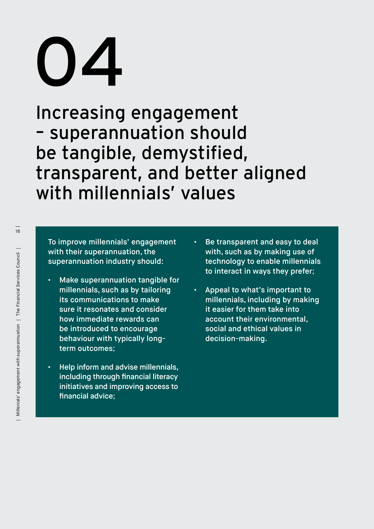## 04

Increasing engagement – superannuation should be tangible, demystified, transparent, and better aligned with millennials' values

To improve millennials' engagement with their superannuation, the superannuation industry should:

- Make superannuation tangible for millennials, such as by tailoring its communications to make sure it resonates and consider how immediate rewards can be introduced to encourage behaviour with typically longterm outcomes;
- Help inform and advise millennials, including through financial literacy initiatives and improving access to financial advice;
- Be transparent and easy to deal with, such as by making use of technology to enable millennials to interact in ways they prefer;
- Appeal to what's important to millennials, including by making it easier for them take into account their environmental, social and ethical values in decision-making.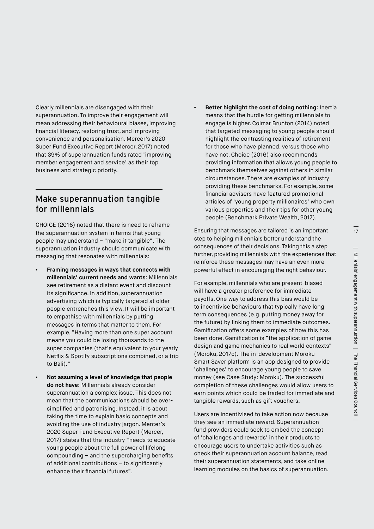Clearly millennials are disengaged with their superannuation. To improve their engagement will mean addressing their behavioural biases, improving financial literacy, restoring trust, and improving convenience and personalisation. Mercer's 2020 Super Fund Executive Report (Mercer, 2017) noted that 39% of superannuation funds rated 'improving member engagement and service' as their top business and strategic priority.

#### Make superannuation tangible for millennials

CHOICE (2016) noted that there is need to reframe the superannuation system in terms that young people may understand – "make it tangible". The superannuation industry should communicate with messaging that resonates with millennials:

- **• Framing messages in ways that connects with millennials' current needs and wants:** Millennials see retirement as a distant event and discount its significance. In addition, superannuation advertising which is typically targeted at older people entrenches this view. It will be important to empathise with millennials by putting messages in terms that matter to them. For example, "Having more than one super account means you could be losing thousands to the super companies (that's equivalent to your yearly Netflix & Spotify subscriptions combined, or a trip to Bali)."
- **• Not assuming a level of knowledge that people do not have:** Millennials already consider superannuation a complex issue. This does not mean that the communications should be oversimplified and patronising. Instead, it is about taking the time to explain basic concepts and avoiding the use of industry jargon. Mercer's 2020 Super Fund Executive Report (Mercer, 2017) states that the industry "needs to educate young people about the full power of lifelong compounding – and the supercharging benefits of additional contributions – to significantly enhance their financial futures".

**• Better highlight the cost of doing nothing:** Inertia means that the hurdle for getting millennials to engage is higher. Colmar Brunton (2014) noted that targeted messaging to young people should highlight the contrasting realities of retirement for those who have planned, versus those who have not. Choice (2016) also recommends providing information that allows young people to benchmark themselves against others in similar circumstances. There are examples of industry providing these benchmarks. For example, some financial advisers have featured promotional articles of 'young property millionaires' who own various properties and their tips for other young people (Benchmark Private Wealth, 2017).

Ensuring that messages are tailored is an important step to helping millennials better understand the consequences of their decisions. Taking this a step further, providing millennials with the experiences that reinforce these messages may have an even more powerful effect in encouraging the right behaviour.

For example, millennials who are present-biased will have a greater preference for immediate payoffs. One way to address this bias would be to incentivise behaviours that typically have long term consequences (e.g. putting money away for the future) by linking them to immediate outcomes. Gamification offers some examples of how this has been done. Gamification is "the application of game design and game mechanics to real world contexts" (Moroku, 2017c). The in-development Moroku Smart Saver platform is an app designed to provide 'challenges' to encourage young people to save money (see Case Study: Moroku). The successful completion of these challenges would allow users to earn points which could be traded for immediate and tangible rewards, such as gift vouchers.

Users are incentivised to take action now because they see an immediate reward. Superannuation fund providers could seek to embed the concept of 'challenges and rewards' in their products to encourage users to undertake activities such as check their superannuation account balance, read their superannuation statements, and take online learning modules on the basics of superannuation.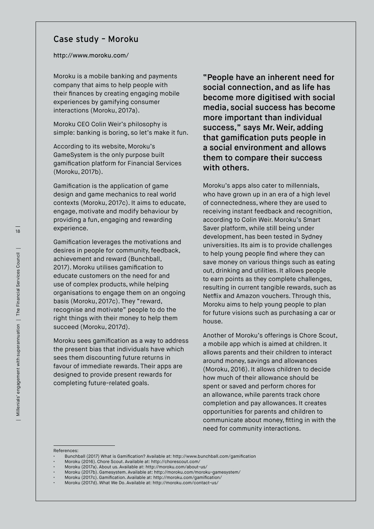#### Case study – Moroku

#### <http://www.moroku.com/>

Moroku is a mobile banking and payments company that aims to help people with their finances by creating engaging mobile experiences by gamifying consumer interactions (Moroku, 2017a).

Moroku CEO Colin Weir's philosophy is simple: banking is boring, so let's make it fun.

According to its website, Moroku's GameSystem is the only purpose built gamification platform for Financial Services (Moroku, 2017b).

Gamification is the application of game design and game mechanics to real world contexts (Moroku, 2017c). It aims to educate, engage, motivate and modify behaviour by providing a fun, engaging and rewarding experience.

Gamification leverages the motivations and desires in people for community, feedback, achievement and reward (Bunchball, 2017). Moroku utilises gamification to educate customers on the need for and use of complex products, while helping organisations to engage them on an ongoing basis (Moroku, 2017c). They "reward, recognise and motivate" people to do the right things with their money to help them succeed (Moroku, 2017d).

Moroku sees gamification as a way to address the present bias that individuals have which sees them discounting future returns in favour of immediate rewards. Their apps are designed to provide present rewards for completing future-related goals.

"People have an inherent need for social connection, and as life has become more digitised with social media, social success has become more important than individual success," says Mr. Weir, adding that gamification puts people in a social environment and allows them to compare their success with others.

Moroku's apps also cater to millennials, who have grown up in an era of a high level of connectedness, where they are used to receiving instant feedback and recognition, according to Colin Weir. Moroku's Smart Saver platform, while still being under development, has been tested in Sydney universities. Its aim is to provide challenges to help young people find where they can save money on various things such as eating out, drinking and utilities. It allows people to earn points as they complete challenges, resulting in current tangible rewards, such as Netflix and Amazon vouchers. Through this, Moroku aims to help young people to plan for future visions such as purchasing a car or house.

Another of Moroku's offerings is Chore Scout, a mobile app which is aimed at children. It allows parents and their children to interact around money, savings and allowances (Moroku, 2016). It allows children to decide how much of their allowance should be spent or saved and perform chores for an allowance, while parents track chore completion and pay allowances. It creates opportunities for parents and children to communicate about money, fitting in with the need for community interactions.

References:

• Bunchball (2017) What is Gamification? Available at: http://www.bunchball.com/gamification

• Moroku (2017b). Gamesystem. Available at: http://moroku.com/moroku-gamesystem/

<sup>•</sup> Moroku (2016). Chore Scout. Available at: http://chorescout.com/

<sup>•</sup> Moroku (2017a). About us. Available at: http://moroku.com/about-us/

<sup>•</sup> Moroku (2017c). Gamification. Available at: http://moroku.com/gamification/

<sup>•</sup> Moroku (2017d). What We Do. Available at: http://moroku.com/contact-us/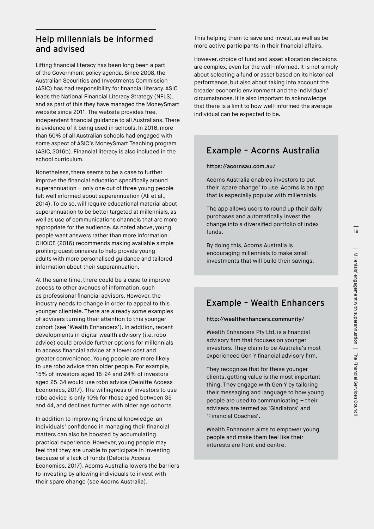#### Help millennials be informed and advised

Lifting financial literacy has been long been a part of the Government policy agenda. Since 2008, the Australian Securities and Investments Commission (ASIC) has had responsibility for financial literacy. ASIC leads the National Financial Literacy Strategy (NFLS), and as part of this they have managed the MoneySmart website since 2011. The website provides free, independent financial guidance to all Australians. There is evidence of it being used in schools. In 2016, more than 50% of all Australian schools had engaged with some aspect of ASIC's MoneySmart Teaching program (ASIC, 2016b). Financial literacy is also included in the school curriculum.

Nonetheless, there seems to be a case to further improve the financial education specifically around superannuation – only one out of three young people felt well informed about superannuation (Ali et al., 2014). To do so, will require educational material about superannuation to be better targeted at millennials, as well as use of communications channels that are more appropriate for the audience. As noted above, young people want answers rather than more information. CHOICE (2016) recommends making available simple profiling questionnaires to help provide young adults with more personalised guidance and tailored information about their superannuation.

At the same time, there could be a case to improve access to other avenues of information, such as professional financial advisors. However, the industry needs to change in order to appeal to this younger clientele. There are already some examples of advisers turning their attention to this younger cohort (see 'Wealth Enhancers'). In addition, recent developments in digital wealth advisory (i.e. robo advice) could provide further options for millennials to access financial advice at a lower cost and greater convenience. Young people are more likely to use robo advice than older people. For example, 15% of investors aged 18-24 and 24% of investors aged 25-34 would use robo advice (Deloitte Access Economics, 2017). The willingness of investors to use robo advice is only 10% for those aged between 35 and 44, and declines further with older age cohorts.

In addition to improving financial knowledge, an individuals' confidence in managing their financial matters can also be boosted by accumulating practical experience. However, young people may feel that they are unable to participate in investing because of a lack of funds (Deloitte Access Economics, 2017). Acorns Australia lowers the barriers to investing by allowing individuals to invest with their spare change (see Acorns Australia).

This helping them to save and invest, as well as be more active participants in their financial affairs.

However, choice of fund and asset allocation decisions are complex, even for the well-informed. It is not simply about selecting a fund or asset based on its historical performance, but also about taking into account the broader economic environment and the individuals' circumstances. It is also important to acknowledge that there is a limit to how well-informed the average individual can be expected to be.

#### Example – Acorns Australia

#### https://acornsau.com.au/

Acorns Australia enables investors to put their 'spare change' to use. Acorns is an app that is especially popular with millennials.

The app allows users to round up their daily purchases and automatically invest the change into a diversified portfolio of index funds.

By doing this, Acorns Australia is encouraging millennials to make small investments that will build their savings.

#### Example – Wealth Enhancers

#### http://wealthenhancers.community/

Wealth Enhancers Pty Ltd, is a financial advisory firm that focuses on younger investors. They claim to be Australia's most experienced Gen Y financial advisory firm.

They recognise that for these younger clients, getting value is the most important thing. They engage with Gen Y by tailoring their messaging and language to how young people are used to communicating – their advisers are termed as 'Gladiators' and 'Financial Coaches'.

Wealth Enhancers aims to empower young people and make them feel like their interests are front and centre.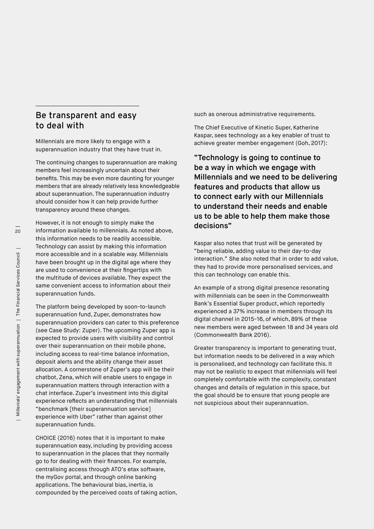#### Be transparent and easy to deal with

Millennials are more likely to engage with a superannuation industry that they have trust in.

The continuing changes to superannuation are making members feel increasingly uncertain about their benefits. This may be even more daunting for younger members that are already relatively less knowledgeable about superannuation. The superannuation industry should consider how it can help provide further transparency around these changes.

However, it is not enough to simply make the information available to millennials. As noted above, this information needs to be readily accessible. Technology can assist by making this information more accessible and in a scalable way. Millennials have been brought up in the digital age where they are used to convenience at their fingertips with the multitude of devices available. They expect the same convenient access to information about their superannuation funds.

The platform being developed by soon-to-launch superannuation fund, Zuper, demonstrates how superannuation providers can cater to this preference (see Case Study: Zuper). The upcoming Zuper app is expected to provide users with visibility and control over their superannuation on their mobile phone, including access to real-time balance information, deposit alerts and the ability change their asset allocation. A cornerstone of Zuper's app will be their chatbot, Zena, which will enable users to engage in superannuation matters through interaction with a chat interface. Zuper's investment into this digital experience reflects an understanding that millennials "benchmark [their superannuation service] experience with Uber" rather than against other superannuation funds.

CHOICE (2016) notes that it is important to make superannuation easy, including by providing access to superannuation in the places that they normally go to for dealing with their finances. For example, centralising access through ATO's etax software, the myGov portal, and through online banking applications. The behavioural bias, inertia, is compounded by the perceived costs of taking action, such as onerous administrative requirements.

The Chief Executive of Kinetic Super, Katherine Kaspar, sees technology as a key enabler of trust to achieve greater member engagement (Goh, 2017):

"Technology is going to continue to be a way in which we engage with Millennials and we need to be delivering features and products that allow us to connect early with our Millennials to understand their needs and enable us to be able to help them make those decisions"

Kaspar also notes that trust will be generated by "being reliable, adding value to their day-to-day interaction." She also noted that in order to add value, they had to provide more personalised services, and this can technology can enable this.

An example of a strong digital presence resonating with millennials can be seen in the Commonwealth Bank's Essential Super product, which reportedly experienced a 37% increase in members through its digital channel in 2015-16, of which, 89% of these new members were aged between 18 and 34 years old (Commonwealth Bank 2016).

Greater transparency is important to generating trust, but information needs to be delivered in a way which is personalised, and technology can facilitate this. It may not be realistic to expect that millennials will feel completely comfortable with the complexity, constant changes and details of regulation in this space, but the goal should be to ensure that young people are not suspicious about their superannuation.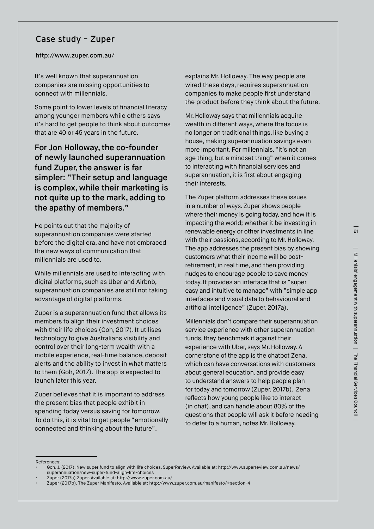#### Case study – Zuper

<http://www.zuper.com.au/>

It's well known that superannuation companies are missing opportunities to connect with millennials.

Some point to lower levels of financial literacy among younger members while others says it's hard to get people to think about outcomes that are 40 or 45 years in the future.

For Jon Holloway, the co-founder of newly launched superannuation fund Zuper, the answer is far simpler: "Their setup and language is complex, while their marketing is not quite up to the mark, adding to the apathy of members."

He points out that the majority of superannuation companies were started before the digital era, and have not embraced the new ways of communication that millennials are used to.

While millennials are used to interacting with digital platforms, such as Uber and Airbnb, superannuation companies are still not taking advantage of digital platforms.

Zuper is a superannuation fund that allows its members to align their investment choices with their life choices (Goh, 2017). It utilises technology to give Australians visibility and control over their long-term wealth with a mobile experience, real-time balance, deposit alerts and the ability to invest in what matters to them (Goh, 2017). The app is expected to launch later this year.

Zuper believes that it is important to address the present bias that people exhibit in spending today versus saving for tomorrow. To do this, it is vital to get people "emotionally connected and thinking about the future",

explains Mr. Holloway. The way people are wired these days, requires superannuation companies to make people first understand the product before they think about the future.

Mr. Holloway says that millennials acquire wealth in different ways, where the focus is no longer on traditional things, like buying a house, making superannuation savings even more important. For millennials, "it's not an age thing, but a mindset thing" when it comes to interacting with financial services and superannuation, it is first about engaging their interests.

The Zuper platform addresses these issues in a number of ways. Zuper shows people where their money is going today, and how it is impacting the world; whether it be investing in renewable energy or other investments in line with their passions, according to Mr. Holloway. The app addresses the present bias by showing customers what their income will be postretirement, in real time, and then providing nudges to encourage people to save money today. It provides an interface that is "super easy and intuitive to manage" with "simple app interfaces and visual data to behavioural and artificial intelligence" (Zuper, 2017a).

Millennials don't compare their superannuation service experience with other superannuation funds, they benchmark it against their experience with Uber, says Mr. Holloway. A cornerstone of the app is the chatbot Zena, which can have conversations with customers about general education, and provide easy to understand answers to help people plan for today and tomorrow (Zuper, 2017b). Zena reflects how young people like to interact (in chat), and can handle about 80% of the questions that people will ask it before needing to defer to a human, notes Mr. Holloway.

References:

<sup>•</sup> Goh, J. (2017). New super fund to align with life choices, SuperReview. Available at: http://www.superreview.com.au/news/ superannuation/new-super-fund-align-life-choices

<sup>•</sup> Zuper (2017a) Zuper. Available at: http://www.zuper.com.au/

<sup>•</sup> Zuper (2017b). The Zuper Manifesto. Available at: http://www.zuper.com.au/manifesto/#section-4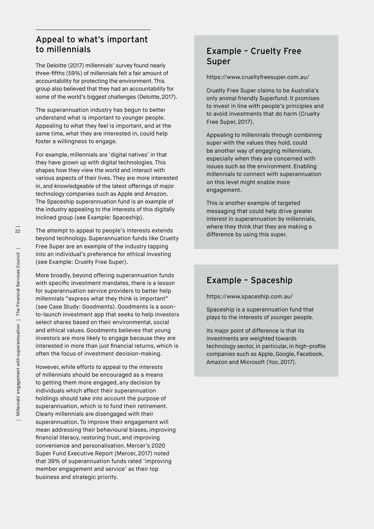#### Appeal to what's important to millennials

The Deloitte (2017) millennials' survey found nearly three-fifths (59%) of millennials felt a fair amount of accountability for protecting the environment. This group also believed that they had an accountability for some of the world's biggest challenges (Deloitte, 2017).

The superannuation industry has begun to better understand what is important to younger people. Appealing to what they feel is important, and at the same time, what they are interested in, could help foster a willingness to engage.

For example, millennials are 'digital natives' in that they have grown up with digital technologies. This shapes how they view the world and interact with various aspects of their lives. They are more interested in, and knowledgeable of the latest offerings of major technology companies such as Apple and Amazon. The Spaceship superannuation fund is an example of the industry appealing to the interests of this digitally inclined group (see Example: Spaceship).

The attempt to appeal to people's interests extends beyond technology. Superannuation funds like Cruelty Free Super are an example of the industry tapping into an individual's preference for ethical investing (see Example: Cruelty Free Super).

More broadly, beyond offering superannuation funds with specific investment mandates, there is a lesson for superannuation service providers to better help millennials "express what they think is important" (see Case Study: Goodments). Goodments is a soonto-launch investment app that seeks to help investors select shares based on their environmental, social and ethical values. Goodments believes that young investors are more likely to engage because they are interested in more than just financial returns, which is often the focus of investment decision-making.

However, while efforts to appeal to the interests of millennials should be encouraged as a means to getting them more engaged, any decision by individuals which affect their superannuation holdings should take into account the purpose of superannuation, which is to fund their retirement. Clearly millennials are disengaged with their superannuation. To improve their engagement will mean addressing their behavioural biases, improving financial literacy, restoring trust, and improving convenience and personalisation. Mercer's 2020 Super Fund Executive Report (Mercer, 2017) noted that 39% of superannuation funds rated 'improving member engagement and service' as their top business and strategic priority.

#### Example – Cruelty Free Super

https://www.crueltyfreesuper.com.au/

Cruelty Free Super claims to be Australia's only animal friendly Superfund. It promises to invest in line with people's principles and to avoid investments that do harm (Cruelty Free Super, 2017).

Appealing to millennials through combining super with the values they hold, could be another way of engaging millennials, especially when they are concerned with issues such as the environment. Enabling millennials to connect with superannuation on this level might enable more engagement.

This is another example of targeted messaging that could help drive greater interest in superannuation by millennials, where they think that they are making a difference by using this super.

#### Example – Spaceship

https://www.spaceship.com.au/

Spaceship is a superannuation fund that plays to the interests of younger people.

Its major point of difference is that its investments are weighted towards technology sector, in particular, in high-profile companies such as Apple, Google, Facebook, Amazon and Microsoft (Yoo, 2017).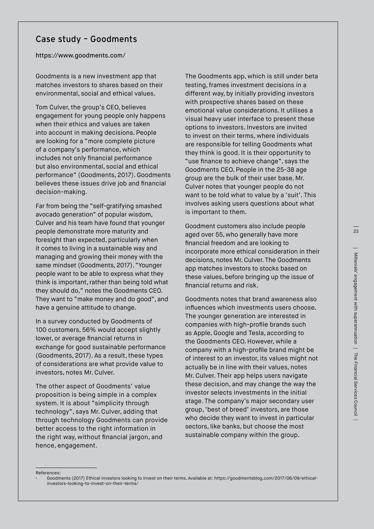#### Case study – Goodments

#### [https://www.goodments.com/](https://www.goodments.com/ )

Goodments is a new investment app that matches investors to shares based on their environmental, social and ethical values.

Tom Culver, the group's CEO, believes engagement for young people only happens when their ethics and values are taken into account in making decisions. People are looking for a "more complete picture of a company's performance, which includes not only financial performance but also environmental, social and ethical performance" (Goodments, 2017). Goodments believes these issues drive job and financial decision-making.

Far from being the "self-gratifying smashed avocado generation" of popular wisdom, Culver and his team have found that younger people demonstrate more maturity and foresight than expected, particularly when it comes to living in a sustainable way and managing and growing their money with the same mindset (Goodments, 2017). "Younger people want to be able to express what they think is important, rather than being told what they should do," notes the Goodments CEO. They want to "make money and do good", and have a genuine attitude to change.

In a survey conducted by Goodments of 100 customers, 56% would accept slightly lower, or average financial returns in exchange for good sustainable performance (Goodments, 2017). As a result, these types of considerations are what provide value to investors, notes Mr. Culver.

The other aspect of Goodments' value proposition is being simple in a complex system. It is about "simplicity through technology", says Mr. Culver, adding that through technology Goodments can provide better access to the right information in the right way, without financial jargon, and hence, engagement.

The Goodments app, which is still under beta testing, frames investment decisions in a different way, by initially providing investors with prospective shares based on these emotional value considerations. It utilises a visual heavy user interface to present these options to investors. Investors are invited to invest on their terms, where individuals are responsible for telling Goodments what they think is good. It is their opportunity to "use finance to achieve change", says the Goodments CEO. People in the 25-38 age group are the bulk of their user base. Mr. Culver notes that younger people do not want to be told what to value by a 'suit'. This involves asking users questions about what is important to them.

Goodment customers also include people aged over 55, who generally have more financial freedom and are looking to incorporate more ethical consideration in their decisions, notes Mr. Culver. The Goodments app matches investors to stocks based on these values, before bringing up the issue of financial returns and risk.

Goodments notes that brand awareness also influences which investments users choose. The younger generation are interested in companies with high-profile brands such as Apple, Google and Tesla, according to the Goodments CEO. However, while a company with a high-profile brand might be of interest to an investor, its values might not actually be in line with their values, notes Mr. Culver. Their app helps users navigate these decision, and may change the way the investor selects investments in the initial stage. The company's major secondary user group, 'best of breed' investors, are those who decide they want to invest in particular sectors, like banks, but choose the most sustainable company within the group.

References:

<sup>•</sup> Goodments (2017) Ethical investors looking to invest on their terms. Available at: https://goodmentsblog.com/2017/06/09/ethicalinvestors-looking-to-invest-on-their-terms/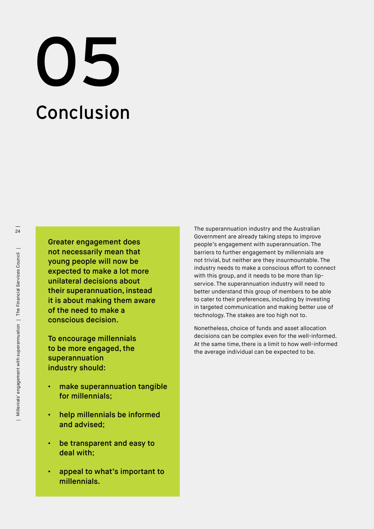## Conclusion 05

Greater engagement does not necessarily mean that young people will now be expected to make a lot more unilateral decisions about their superannuation, instead it is about making them aware of the need to make a conscious decision.

To encourage millennials to be more engaged, the superannuation industry should:

- make superannuation tangible for millennials;
- help millennials be informed and advised;
- be transparent and easy to deal with;
- appeal to what's important to millennials.

The superannuation industry and the Australian Government are already taking steps to improve people's engagement with superannuation. The barriers to further engagement by millennials are not trivial, but neither are they insurmountable. The industry needs to make a conscious effort to connect with this group, and it needs to be more than lipservice. The superannuation industry will need to better understand this group of members to be able to cater to their preferences, including by investing in targeted communication and making better use of technology. The stakes are too high not to.

Nonetheless, choice of funds and asset allocation decisions can be complex even for the well-informed. At the same time, there is a limit to how well-informed the average individual can be expected to be.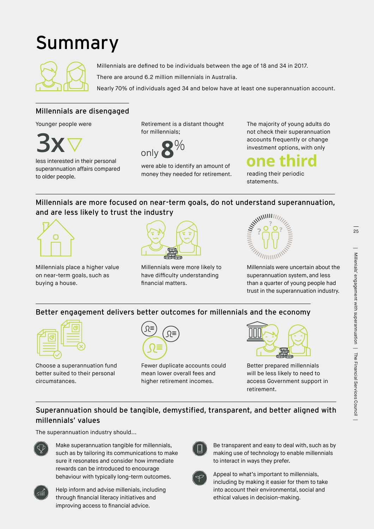### Summary



Millennials are defined to be individuals between the age of 18 and 34 in 2017.

There are around 6.2 million millennials in Australia.

Nearly 70% of individuals aged 34 and below have at least one superannuation account.

#### Millennials are disengaged

Younger people were



less interested in their personal superannuation affairs compared to older people.

Retirement is a distant thought for millennials;



were able to identify an amount of money they needed for retirement. The majority of young adults do not check their superannuation accounts frequently or change investment options, with only

reading their periodic statements.

#### Millennials are more focused on near-term goals, do not understand superannuation, and are less likely to trust the industry



Millennials place a higher value on near-term goals, such as buying a house.



Millennials were more likely to have difficulty understanding financial matters.



Millennials were uncertain about the superannuation system, and less than a quarter of young people had trust in the superannuation industry.

#### Better engagement delivers better outcomes for millennials and the economy



Choose a superannuation fund better suited to their personal circumstances.



Fewer duplicate accounts could mean lower overall fees and higher retirement incomes.



Better prepared millennials will be less likely to need to access Government support in retirement.

#### Superannuation should be tangible, demystified, transparent, and better aligned with millennials' values

The superannuation industry should...



Make superannuation tangible for millennials, such as by tailoring its communications to make sure it resonates and consider how immediate rewards can be introduced to encourage behaviour with typically long-term outcomes.



Help inform and advise millenials, including through financial literacy initiatives and improving access to financial advice.



Be transparent and easy to deal with, such as by making use of technology to enable millennials to interact in ways they prefer.



Appeal to what's important to millennials, including by making it easier for them to take into account their environmental, social and ethical values in decision-making.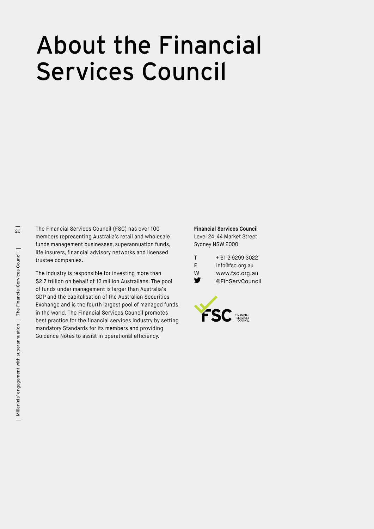## About the Financial Services Council

The Financial Services Council (FSC) has over 100 members representing Australia's retail and wholesale funds management businesses, superannuation funds, life insurers, financial advisory networks and licensed trustee companies.

The industry is responsible for investing more than \$2.7 trillion on behalf of 13 million Australians. The pool of funds under management is larger than Australia's GDP and the capitalisation of the Australian Securities Exchange and is the fourth largest pool of managed funds in the world. The Financial Services Council promotes best practice for the financial services industry by setting mandatory Standards for its members and providing Guidance Notes to assist in operational efficiency.

**Financial Services Council** Level 24, 44 Market Street Sydney NSW 2000

| T | + 61 2 9299 3022 |
|---|------------------|
| F | info@fsc.org.au  |
| w | www.fsc.org.au   |
| v | @FinServCouncil  |

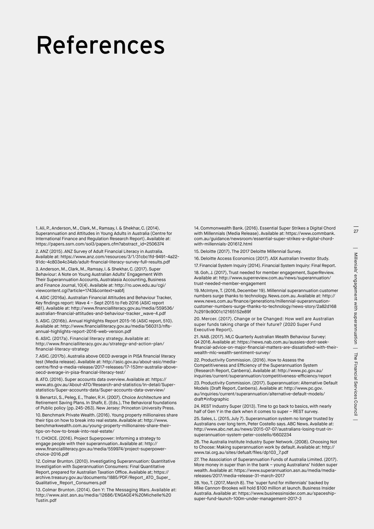## References

1. Ali, P., Anderson, M., Clark, M., Ramsay, I. & Shekhar, C. (2014). Superannuation and Attitudes in Young Adults in Australia (Centre for International Finance and Regulation Research Report). Available at: https://papers.ssrn.com/sol3/papers.cfm?abstract\_id=2506374

2. ANZ (2015). ANZ Survey of Adult Financial Literacy in Australia. Available at: https://www.anz.com/resources/3/1/31cbc1fd-9491-4a22- 91dc-4c803e4c34ab/adult-financial-literacy-survey-full-results.pdf

3. Anderson, M., Clark, M., Ramsay, I. & Shekhar, C. (2017). Super Behaviour: A Note on Young Australian Adults' Engagement With Their Superannuation Accounts, Australasia Accounting, Business and Finance Journal, 10(4). Available at: http://ro.uow.edu.au/cgi/ viewcontent.cgi?article=1743&context=aabfj

4. ASIC (2016a). Australian Financial Attitudes and Behaviour Tracker, Key findings report: Wave 4 – Sept 2015 to Feb 2016 (ASIC report 481). Available at: http://www.financialliteracy.gov.au/media/559536/ australian-financial-attitudes-and-behaviour-tracker\_wave-4.pdf

5. ASIC. (2016b). Annual Highlights Report 2015-16 (ASIC report, 510). Available at: http://www.financialliteracy.gov.au/media/560313/nflsannual-highlights-report-2016-web-version.pdf

6. ASIC. (2017a). Financial literacy strategy. Available at: http://www.financialliteracy.gov.au/strategy-and-action-plan/ financial-literacy-strategy

7. ASIC. (2017b). Australia above OECD average in PISA financial literacy test (Media release). Available at: http://asic.gov.au/about-asic/mediacentre/find-a-media-release/2017-releases/17-153mr-australia-aboveoecd-average-in-pisa-financial-literacy-test/

8. ATO. (2016). Super accounts data overview. Available at: https:// www.ato.gov.au/About-ATO/Research-and-statistics/In-detail/Superstatistics/Super-accounts-data/Super-accounts-data-overview/

9. Benartzi, S., Peleg, E., Thaler, R.H. (2007). Choice Architecture and Retirement Saving Plans. In Shafir, E. (Eds.), The Behavioral foundations of Public policy (pp. 245-263). New Jersey: Princeton University Press.

10. Benchmark Private Wealth. (2016). Young property millionaires share their tips on how to break into real estate. Available at: http://www. benchmarkwealth.com.au/young-property-millionaires-share-theirtips-on-how-to-break-into-real-estate/

11. CHOICE. (2016). Project Superpower: Informing a strategy to engage people with their superannuation. Available at: http:// www.financialliteracy.gov.au/media/559974/project-superpowerchoice-2016.pdf

12. Colmar Brunton. (2010). Investigating Superannuation: Quantitative Investigation with Superannuation Consumers: Final Quantitative Report, prepared for Australian Taxation Office. Available at; https:// archive.treasury.gov.au/documents/1885/PDF/Report\_ATO\_Super\_ Qualitative\_Report\_Consumers.pdf

13. Colmar Brunton. (2014). Gen Y: The Messaging Wars. Available at: http://www.aist.asn.au/media/12686/ENGAGE4%20Michelle%20 Tustin.pdf

14. Commonwealth Bank. (2016). Essential Super Strikes a Digital Chord with Millennials (Media Release). Available at: https://www.commbank. com.au/guidance/newsroom/essential-super-strikes-a-digital-chordwith-millennials-201612.html

15. Deloitte (2017). The 2017 Deloitte Millennial Survey.

16. Deloitte Access Economics (2017). ASX Australian Investor Study.

17. Financial System Inquiry (2014). Financial System Inquiry: Final Report.

18. Goh, J. (2017), Trust needed for member engagement, SuperReview. Available at: http://www.superreview.com.au/news/superannuation/ trust-needed-member-engagement

19. McIntyre, T. (2016, December 19). Millennial superannuation customer numbers surge thanks to technology. News.com.au. Available at: http:// www.news.com.au/finance/generations/millennial-superannuationcustomer-numbers-surge-thanks-to-technology/news-story/2a82d168 7c2919c9001c12165152e89f

20. Mercer. (2017). Change or be Changed: How well are Australian super funds taking charge of their future? (2020 Super Fund Executive Report).

21. NAB. (2017). MLC Quarterly Australian Wealth Behaviour Survey: Q4 2016. Available at: https://news.nab.com.au/aussies-dont-seekfinancial-advice-on-major-financial-matters-are-dissatisfied-with-theirwealth-mlc-wealth-sentiment-survey/

22. Productivity Commission. (2016). How to Assess the Competitiveness and Efficiency of the Superannuation System (Research Report, Canberra). Available at: http://www.pc.gov.au/ inquiries/current/superannuation/competitiveness-efficiency/report

23. Productivity Commission. (2017). Superannuation: Alternative Default Models (Draft Report, Canberra). Available at: http://www.pc.gov. au/inquiries/current/superannuation/alternative-default-models/ draft#infographic

24. REST Industry Super (2013). Time to go back to basics, with nearly half of Gen Y in the dark when it comes to super – REST survey.

25. Sales, L. (2015, July 7). Superannuation system no longer trusted by Australians over long term, Peter Costello says. ABC News. Available at: http://www.abc.net.au/news/2015-07-07/australians-losing-trust-insuperannuation-system-peter-costello/6602234

26. The Australia Institute Industry Super Network. (2008). Choosing Not to Choose: Making superannuation work by default. Available at: http:// www.tai.org.au/sites/defualt/files/dp103\_7.pdf

27. The Association of Superannuation Funds of Australia Limited. (2017). More money in super than in the bank – young Australians' hidden super wealth. Available at: https://www.superannuation.asn.au/media/mediareleases/2017/media-release-31-march-2017

28. Yoo, T. (2017, March 8). The 'super fund for millennials' backed by Mike Cannon-Brookes will hold \$100 million at launch. Business Insider Australia. Available at: https://www.businessinsider.com.au/spaceshipsuper-fund-launch-100m-under-management-2017-3